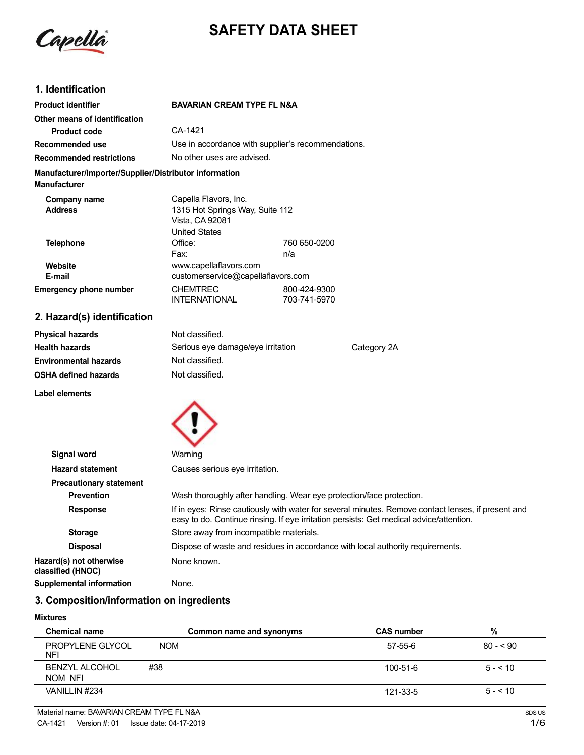Capella

# **SAFETY DATA SHEET**

# **1. Identification**

| <b>Product identifier</b>                                                     | <b>BAVARIAN CREAM TYPE FL N&amp;A</b> |                                                    |  |
|-------------------------------------------------------------------------------|---------------------------------------|----------------------------------------------------|--|
| Other means of identification                                                 |                                       |                                                    |  |
| Product code                                                                  | CA-1421                               |                                                    |  |
| Recommended use                                                               |                                       | Use in accordance with supplier's recommendations. |  |
| <b>Recommended restrictions</b>                                               |                                       | No other uses are advised.                         |  |
| Manufacturer/Importer/Supplier/Distributor information<br><b>Manufacturer</b> |                                       |                                                    |  |
| Company name                                                                  | Capella Flavors, Inc.                 |                                                    |  |
| <b>Address</b>                                                                | 1315 Hot Springs Way, Suite 112       |                                                    |  |
|                                                                               | Vista, CA 92081                       |                                                    |  |
|                                                                               | <b>United States</b>                  |                                                    |  |
| <b>Telephone</b>                                                              | Office:                               | 760 650-0200                                       |  |
|                                                                               | Fax:                                  | n/a                                                |  |
| Website                                                                       | www.capellaflavors.com                |                                                    |  |
| E-mail                                                                        |                                       | customerservice@capellaflavors.com                 |  |
| <b>Emergency phone number</b>                                                 | <b>CHEMTREC</b>                       | 800-424-9300                                       |  |
|                                                                               | <b>INTERNATIONAL</b>                  | 703-741-5970                                       |  |

# **2. Hazard(s) identification**

| <b>Physical hazards</b>      | Not classified.                   |             |
|------------------------------|-----------------------------------|-------------|
| <b>Health hazards</b>        | Serious eye damage/eye irritation | Category 2A |
| <b>Environmental hazards</b> | Not classified.                   |             |
| <b>OSHA defined hazards</b>  | Not classified.                   |             |

**Label elements**



| Signal word                                  | Warning                                                                                                                                                                                       |
|----------------------------------------------|-----------------------------------------------------------------------------------------------------------------------------------------------------------------------------------------------|
| <b>Hazard statement</b>                      | Causes serious eye irritation.                                                                                                                                                                |
| <b>Precautionary statement</b>               |                                                                                                                                                                                               |
| <b>Prevention</b>                            | Wash thoroughly after handling. Wear eye protection/face protection.                                                                                                                          |
| <b>Response</b>                              | If in eyes: Rinse cautiously with water for several minutes. Remove contact lenses, if present and<br>easy to do. Continue rinsing. If eye irritation persists: Get medical advice/attention. |
| <b>Storage</b>                               | Store away from incompatible materials.                                                                                                                                                       |
| <b>Disposal</b>                              | Dispose of waste and residues in accordance with local authority requirements.                                                                                                                |
| Hazard(s) not otherwise<br>classified (HNOC) | None known.                                                                                                                                                                                   |
| <b>Supplemental information</b>              | None.                                                                                                                                                                                         |

# **3. Composition/information on ingredients**

#### **Mixtures**

| <b>Chemical name</b>             |            | <b>CAS number</b><br>Common name and synonyms | %         |
|----------------------------------|------------|-----------------------------------------------|-----------|
| PROPYLENE GLYCOL<br><b>NFI</b>   | <b>NOM</b> | 57-55-6                                       | $80 - 90$ |
| <b>BENZYL ALCOHOL</b><br>NOM NFI | #38        | 100-51-6                                      | $5 - 10$  |
| VANILLIN #234                    |            | 121-33-5                                      | $5 - 510$ |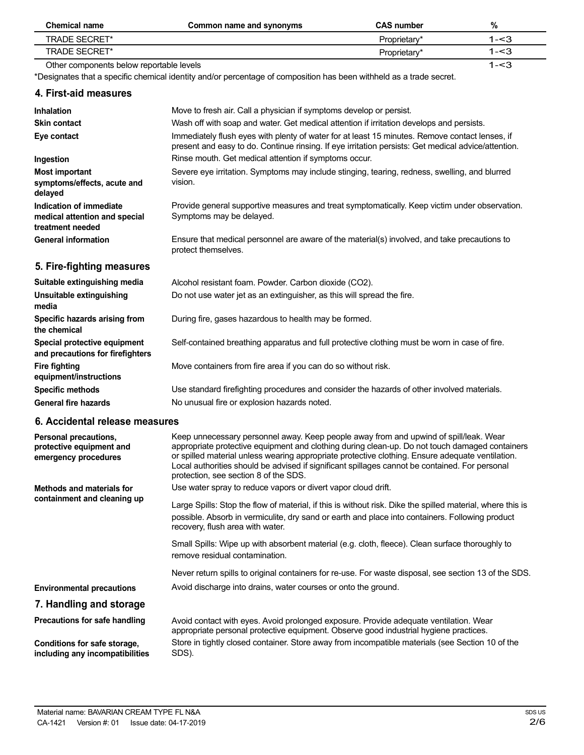| <b>Chemical name</b>                     | Common name and synonyms | <b>CAS number</b> | %       |
|------------------------------------------|--------------------------|-------------------|---------|
| TRADE SECRET*                            |                          | Proprietary*      | 1-<3    |
| TRADE SECRET*                            |                          | Proprietary*      | 1-<3    |
| Other components below reportable levels |                          |                   | $1 - 3$ |

\*Designates that a specific chemical identity and/or percentage of composition has been withheld as a trade secret.

| 4. First-aid measures                                                        |                                                                                                                                                                                                                                                                                                                                                                                                                                        |
|------------------------------------------------------------------------------|----------------------------------------------------------------------------------------------------------------------------------------------------------------------------------------------------------------------------------------------------------------------------------------------------------------------------------------------------------------------------------------------------------------------------------------|
| <b>Inhalation</b>                                                            | Move to fresh air. Call a physician if symptoms develop or persist.                                                                                                                                                                                                                                                                                                                                                                    |
| <b>Skin contact</b>                                                          | Wash off with soap and water. Get medical attention if irritation develops and persists.                                                                                                                                                                                                                                                                                                                                               |
| Eye contact                                                                  | Immediately flush eyes with plenty of water for at least 15 minutes. Remove contact lenses, if<br>present and easy to do. Continue rinsing. If eye irritation persists: Get medical advice/attention.                                                                                                                                                                                                                                  |
| Ingestion                                                                    | Rinse mouth. Get medical attention if symptoms occur.                                                                                                                                                                                                                                                                                                                                                                                  |
| <b>Most important</b><br>symptoms/effects, acute and<br>delayed              | Severe eye irritation. Symptoms may include stinging, tearing, redness, swelling, and blurred<br>vision.                                                                                                                                                                                                                                                                                                                               |
| Indication of immediate<br>medical attention and special<br>treatment needed | Provide general supportive measures and treat symptomatically. Keep victim under observation.<br>Symptoms may be delayed.                                                                                                                                                                                                                                                                                                              |
| <b>General information</b>                                                   | Ensure that medical personnel are aware of the material(s) involved, and take precautions to<br>protect themselves.                                                                                                                                                                                                                                                                                                                    |
| 5. Fire-fighting measures                                                    |                                                                                                                                                                                                                                                                                                                                                                                                                                        |
| Suitable extinguishing media                                                 | Alcohol resistant foam. Powder. Carbon dioxide (CO2).                                                                                                                                                                                                                                                                                                                                                                                  |
| Unsuitable extinguishing<br>media                                            | Do not use water jet as an extinguisher, as this will spread the fire.                                                                                                                                                                                                                                                                                                                                                                 |
| Specific hazards arising from<br>the chemical                                | During fire, gases hazardous to health may be formed.                                                                                                                                                                                                                                                                                                                                                                                  |
| Special protective equipment<br>and precautions for firefighters             | Self-contained breathing apparatus and full protective clothing must be worn in case of fire.                                                                                                                                                                                                                                                                                                                                          |
| <b>Fire fighting</b><br>equipment/instructions                               | Move containers from fire area if you can do so without risk.                                                                                                                                                                                                                                                                                                                                                                          |
| <b>Specific methods</b>                                                      | Use standard firefighting procedures and consider the hazards of other involved materials.                                                                                                                                                                                                                                                                                                                                             |
| <b>General fire hazards</b>                                                  | No unusual fire or explosion hazards noted.                                                                                                                                                                                                                                                                                                                                                                                            |
| 6. Accidental release measures                                               |                                                                                                                                                                                                                                                                                                                                                                                                                                        |
| Personal precautions,<br>protective equipment and<br>emergency procedures    | Keep unnecessary personnel away. Keep people away from and upwind of spill/leak. Wear<br>appropriate protective equipment and clothing during clean-up. Do not touch damaged containers<br>or spilled material unless wearing appropriate protective clothing. Ensure adequate ventilation.<br>Local authorities should be advised if significant spillages cannot be contained. For personal<br>protection, see section 8 of the SDS. |

**Methods and materials for containment and cleaning up** Use water spray to reduce vapors or divert vapor cloud drift.

Large Spills: Stop the flow of material, if this is without risk. Dike the spilled material, where this is possible. Absorb in vermiculite, dry sand or earth and place into containers. Following product recovery, flush area with water.

Small Spills: Wipe up with absorbent material (e.g. cloth, fleece). Clean surface thoroughly to remove residual contamination.

Never return spills to original containers for re-use. For waste disposal, see section 13 of the SDS. Avoid discharge into drains, water courses or onto the ground.

## **Environmental precautions 7. Handling and storage**

**Precautions for safe handling**

**Conditions for safe storage, including any incompatibilities**

Avoid contact with eyes. Avoid prolonged exposure. Provide adequate ventilation. Wear appropriate personal protective equipment. Observe good industrial hygiene practices. Store in tightly closed container. Store away from incompatible materials (see Section 10 of the SDS).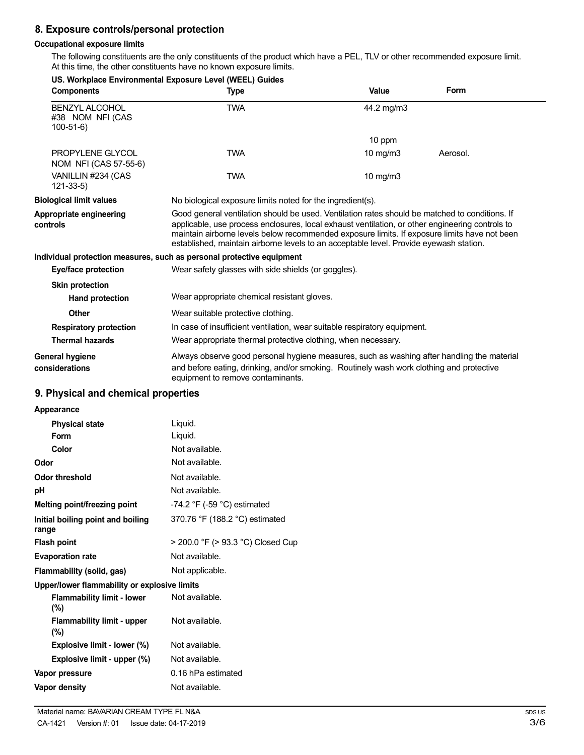# **8. Exposure controls/personal protection**

#### **Occupational exposure limits**

The following constituents are the only constituents of the product which have a PEL, TLV or other recommended exposure limit. At this time, the other constituents have no known exposure limits.

| US. Workplace Environmental Exposure Level (WEEL) Guides              |                                                                                                                                                                                                                                                                                                                                                                                             |                   |             |
|-----------------------------------------------------------------------|---------------------------------------------------------------------------------------------------------------------------------------------------------------------------------------------------------------------------------------------------------------------------------------------------------------------------------------------------------------------------------------------|-------------------|-------------|
| <b>Components</b>                                                     | <b>Type</b>                                                                                                                                                                                                                                                                                                                                                                                 | Value             | <b>Form</b> |
| <b>BENZYL ALCOHOL</b><br>#38 NOM NFI (CAS<br>$100 - 51 - 6$           | <b>TWA</b>                                                                                                                                                                                                                                                                                                                                                                                  | 44.2 mg/m3        |             |
|                                                                       |                                                                                                                                                                                                                                                                                                                                                                                             | 10 ppm            |             |
| PROPYLENE GLYCOL<br>NOM NFI (CAS 57-55-6)                             | <b>TWA</b>                                                                                                                                                                                                                                                                                                                                                                                  | $10 \text{ mg/m}$ | Aerosol.    |
| VANILLIN #234 (CAS<br>$121 - 33 - 5$                                  | <b>TWA</b>                                                                                                                                                                                                                                                                                                                                                                                  | 10 mg/m3          |             |
| <b>Biological limit values</b>                                        | No biological exposure limits noted for the ingredient(s).                                                                                                                                                                                                                                                                                                                                  |                   |             |
| Appropriate engineering<br>controls                                   | Good general ventilation should be used. Ventilation rates should be matched to conditions. If<br>applicable, use process enclosures, local exhaust ventilation, or other engineering controls to<br>maintain airborne levels below recommended exposure limits. If exposure limits have not been<br>established, maintain airborne levels to an acceptable level. Provide eyewash station. |                   |             |
| Individual protection measures, such as personal protective equipment |                                                                                                                                                                                                                                                                                                                                                                                             |                   |             |
| Eye/face protection                                                   | Wear safety glasses with side shields (or goggles).                                                                                                                                                                                                                                                                                                                                         |                   |             |
| <b>Skin protection</b>                                                |                                                                                                                                                                                                                                                                                                                                                                                             |                   |             |
| <b>Hand protection</b>                                                | Wear appropriate chemical resistant gloves.                                                                                                                                                                                                                                                                                                                                                 |                   |             |
| Other                                                                 | Wear suitable protective clothing.                                                                                                                                                                                                                                                                                                                                                          |                   |             |
| <b>Respiratory protection</b>                                         | In case of insufficient ventilation, wear suitable respiratory equipment.                                                                                                                                                                                                                                                                                                                   |                   |             |
| <b>Thermal hazards</b>                                                | Wear appropriate thermal protective clothing, when necessary.                                                                                                                                                                                                                                                                                                                               |                   |             |
| <b>General hygiene</b><br>considerations                              | Always observe good personal hygiene measures, such as washing after handling the material<br>and before eating, drinking, and/or smoking. Routinely wash work clothing and protective<br>equipment to remove contaminants.                                                                                                                                                                 |                   |             |

## **9. Physical and chemical properties**

| Appearance                                   |                                               |
|----------------------------------------------|-----------------------------------------------|
| <b>Physical state</b>                        | Liquid.                                       |
| Form                                         | Liquid.                                       |
| Color                                        | Not available.                                |
| Odor                                         | Not available.                                |
| Odor threshold                               | Not available.                                |
| рH                                           | Not available.                                |
| Melting point/freezing point                 | -74.2 $\degree$ F (-59 $\degree$ C) estimated |
| Initial boiling point and boiling<br>range   | 370.76 °F (188.2 °C) estimated                |
| <b>Flash point</b>                           | > 200.0 °F (> 93.3 °C) Closed Cup             |
| <b>Evaporation rate</b>                      | Not available.                                |
| Flammability (solid, gas)                    | Not applicable.                               |
| Upper/lower flammability or explosive limits |                                               |
| <b>Flammability limit - lower</b><br>$(\%)$  | Not available.                                |
| <b>Flammability limit - upper</b><br>(%)     | Not available.                                |
| Explosive limit - lower (%)                  | Not available.                                |
| Explosive limit - upper (%)                  | Not available.                                |
| Vapor pressure                               | 0.16 hPa estimated                            |
| Vapor density                                | Not available.                                |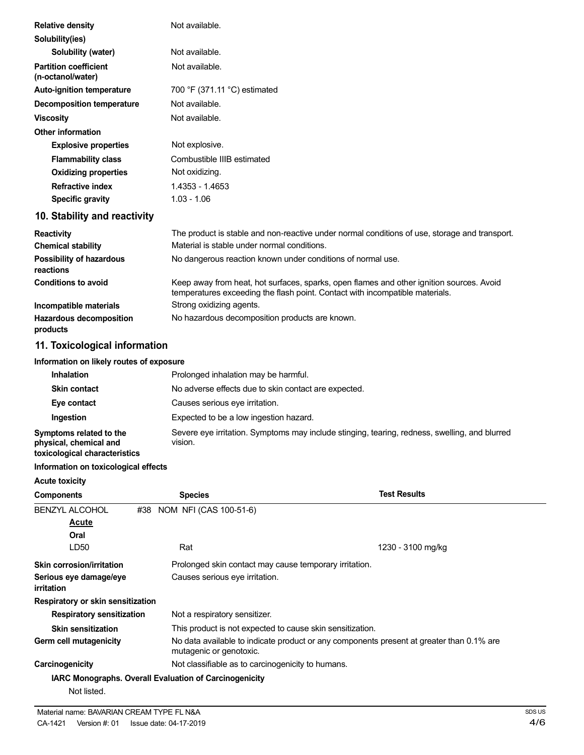| <b>Relative density</b>                           | Not available.                                                                                                                                                           |
|---------------------------------------------------|--------------------------------------------------------------------------------------------------------------------------------------------------------------------------|
| Solubility(ies)                                   |                                                                                                                                                                          |
| Solubility (water)                                | Not available.                                                                                                                                                           |
| <b>Partition coefficient</b><br>(n-octanol/water) | Not available.                                                                                                                                                           |
| <b>Auto-ignition temperature</b>                  | 700 °F (371.11 °C) estimated                                                                                                                                             |
| <b>Decomposition temperature</b>                  | Not available.                                                                                                                                                           |
| <b>Viscosity</b>                                  | Not available.                                                                                                                                                           |
| <b>Other information</b>                          |                                                                                                                                                                          |
| <b>Explosive properties</b>                       | Not explosive.                                                                                                                                                           |
| <b>Flammability class</b>                         | Combustible IIIB estimated                                                                                                                                               |
| <b>Oxidizing properties</b>                       | Not oxidizing.                                                                                                                                                           |
| <b>Refractive index</b>                           | 1.4353 - 1.4653                                                                                                                                                          |
| <b>Specific gravity</b>                           | $1.03 - 1.06$                                                                                                                                                            |
| 10. Stability and reactivity                      |                                                                                                                                                                          |
| <b>Reactivity</b>                                 | The product is stable and non-reactive under normal conditions of use, storage and transport.                                                                            |
| <b>Chemical stability</b>                         | Material is stable under normal conditions.                                                                                                                              |
| <b>Possibility of hazardous</b><br>reactions      | No dangerous reaction known under conditions of normal use.                                                                                                              |
| <b>Conditions to avoid</b>                        | Keep away from heat, hot surfaces, sparks, open flames and other ignition sources. Avoid<br>temperatures exceeding the flash point. Contact with incompatible materials. |
| Incompatible materials                            | Strong oxidizing agents.                                                                                                                                                 |
| <b>Hazardous decomposition</b><br>products        | No hazardous decomposition products are known.                                                                                                                           |

## **11. Toxicological information**

### **Information on likely routes of exposure**

| <b>Inhalation</b>                                                                  | Prolonged inhalation may be harmful.                                                                     |
|------------------------------------------------------------------------------------|----------------------------------------------------------------------------------------------------------|
| <b>Skin contact</b>                                                                | No adverse effects due to skin contact are expected.                                                     |
| Eye contact                                                                        | Causes serious eye irritation.                                                                           |
| Ingestion                                                                          | Expected to be a low ingestion hazard.                                                                   |
| Symptoms related to the<br>physical, chemical and<br>toxicological characteristics | Severe eye irritation. Symptoms may include stinging, tearing, redness, swelling, and blurred<br>vision. |

#### **Information on toxicological effects**

| <b>Acute toxicity</b>                       |                                                               |                                                                                          |
|---------------------------------------------|---------------------------------------------------------------|------------------------------------------------------------------------------------------|
| <b>Components</b>                           | <b>Species</b>                                                | <b>Test Results</b>                                                                      |
| <b>BENZYL ALCOHOL</b>                       | #38 NOM NFI (CAS 100-51-6)                                    |                                                                                          |
| Acute                                       |                                                               |                                                                                          |
| Oral                                        |                                                               |                                                                                          |
| LD50                                        | Rat                                                           | 1230 - 3100 mg/kg                                                                        |
| Skin corrosion/irritation                   |                                                               | Prolonged skin contact may cause temporary irritation.                                   |
| Serious eye damage/eye<br><i>irritation</i> | Causes serious eye irritation.                                |                                                                                          |
| Respiratory or skin sensitization           |                                                               |                                                                                          |
| <b>Respiratory sensitization</b>            | Not a respiratory sensitizer.                                 |                                                                                          |
| <b>Skin sensitization</b>                   |                                                               | This product is not expected to cause skin sensitization.                                |
| Germ cell mutagenicity                      | mutagenic or genotoxic.                                       | No data available to indicate product or any components present at greater than 0.1% are |
| Carcinogenicity                             | Not classifiable as to carcinogenicity to humans.             |                                                                                          |
|                                             | <b>IARC Monographs. Overall Evaluation of Carcinogenicity</b> |                                                                                          |
| Not listed.                                 |                                                               |                                                                                          |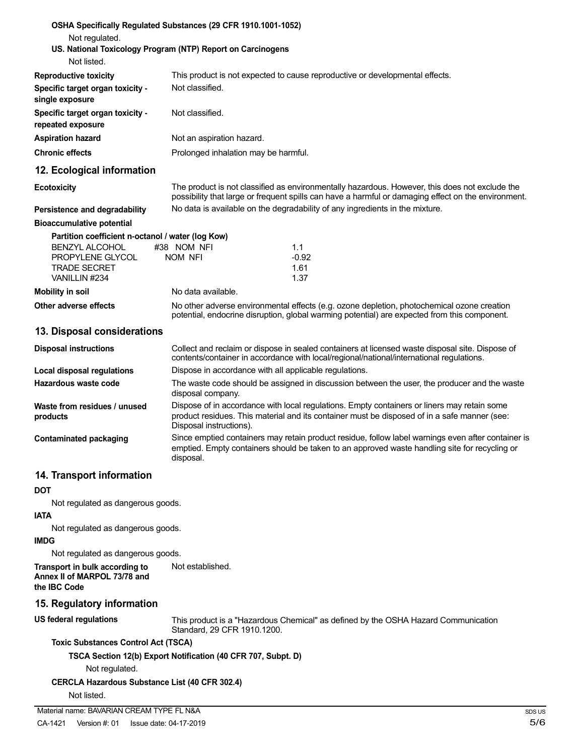| Not regulated.                                                                                                                                                             | OSHA Specifically Regulated Substances (29 CFR 1910.1001-1052)<br>US. National Toxicology Program (NTP) Report on Carcinogens                                                                                          |  |
|----------------------------------------------------------------------------------------------------------------------------------------------------------------------------|------------------------------------------------------------------------------------------------------------------------------------------------------------------------------------------------------------------------|--|
| Not listed.                                                                                                                                                                |                                                                                                                                                                                                                        |  |
| <b>Reproductive toxicity</b>                                                                                                                                               | This product is not expected to cause reproductive or developmental effects.                                                                                                                                           |  |
| Specific target organ toxicity -<br>single exposure                                                                                                                        | Not classified.                                                                                                                                                                                                        |  |
| Specific target organ toxicity -<br>repeated exposure                                                                                                                      | Not classified.                                                                                                                                                                                                        |  |
| <b>Aspiration hazard</b>                                                                                                                                                   | Not an aspiration hazard.                                                                                                                                                                                              |  |
| <b>Chronic effects</b>                                                                                                                                                     | Prolonged inhalation may be harmful.                                                                                                                                                                                   |  |
| 12. Ecological information                                                                                                                                                 |                                                                                                                                                                                                                        |  |
| <b>Ecotoxicity</b>                                                                                                                                                         | The product is not classified as environmentally hazardous. However, this does not exclude the<br>possibility that large or frequent spills can have a harmful or damaging effect on the environment.                  |  |
| Persistence and degradability                                                                                                                                              | No data is available on the degradability of any ingredients in the mixture.                                                                                                                                           |  |
| <b>Bioaccumulative potential</b><br>Partition coefficient n-octanol / water (log Kow)<br><b>BENZYL ALCOHOL</b><br>PROPYLENE GLYCOL<br><b>TRADE SECRET</b><br>VANILLIN #234 | #38 NOM NFI<br>1.1<br>$-0.92$<br>NOM NFI<br>1.61<br>1.37                                                                                                                                                               |  |
| <b>Mobility in soil</b>                                                                                                                                                    | No data available.                                                                                                                                                                                                     |  |
| Other adverse effects                                                                                                                                                      | No other adverse environmental effects (e.g. ozone depletion, photochemical ozone creation<br>potential, endocrine disruption, global warming potential) are expected from this component.                             |  |
| 13. Disposal considerations                                                                                                                                                |                                                                                                                                                                                                                        |  |
| <b>Disposal instructions</b>                                                                                                                                               | Collect and reclaim or dispose in sealed containers at licensed waste disposal site. Dispose of<br>contents/container in accordance with local/regional/national/international regulations.                            |  |
| <b>Local disposal regulations</b>                                                                                                                                          | Dispose in accordance with all applicable regulations.                                                                                                                                                                 |  |
| Hazardous waste code                                                                                                                                                       | The waste code should be assigned in discussion between the user, the producer and the waste<br>disposal company.                                                                                                      |  |
| Waste from residues / unused<br>products                                                                                                                                   | Dispose of in accordance with local regulations. Empty containers or liners may retain some<br>product residues. This material and its container must be disposed of in a safe manner (see:<br>Disposal instructions). |  |
| <b>Contaminated packaging</b>                                                                                                                                              | Since emptied containers may retain product residue, follow label warnings even after container is<br>emptied. Empty containers should be taken to an approved waste handling site for recycling or<br>disposal.       |  |
| 14. Transport information                                                                                                                                                  |                                                                                                                                                                                                                        |  |
| DOT                                                                                                                                                                        |                                                                                                                                                                                                                        |  |
| Not regulated as dangerous goods.<br><b>IATA</b>                                                                                                                           |                                                                                                                                                                                                                        |  |
| Not regulated as dangerous goods.<br><b>IMDG</b>                                                                                                                           |                                                                                                                                                                                                                        |  |
| Not regulated as dangerous goods.                                                                                                                                          |                                                                                                                                                                                                                        |  |
| Transport in bulk according to<br>Annex II of MARPOL 73/78 and<br>the IBC Code                                                                                             | Not established.                                                                                                                                                                                                       |  |
| 15. Regulatory information                                                                                                                                                 |                                                                                                                                                                                                                        |  |
| <b>US federal regulations</b>                                                                                                                                              | This product is a "Hazardous Chemical" as defined by the OSHA Hazard Communication<br>Standard, 29 CFR 1910.1200.                                                                                                      |  |
| <b>Toxic Substances Control Act (TSCA)</b>                                                                                                                                 |                                                                                                                                                                                                                        |  |
| Not regulated.                                                                                                                                                             | TSCA Section 12(b) Export Notification (40 CFR 707, Subpt. D)                                                                                                                                                          |  |
| <b>CERCLA Hazardous Substance List (40 CFR 302.4)</b><br>Not listed.                                                                                                       |                                                                                                                                                                                                                        |  |
|                                                                                                                                                                            |                                                                                                                                                                                                                        |  |
| Material name: BAVARIAN CREAM TYPE FL N&A                                                                                                                                  | S                                                                                                                                                                                                                      |  |